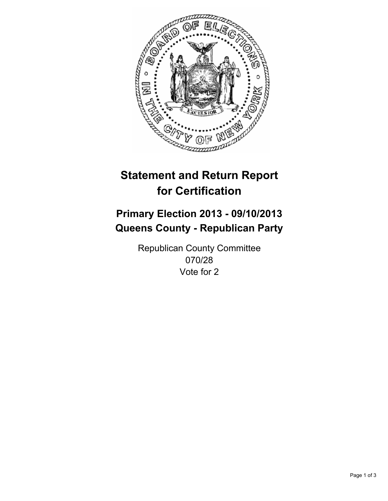

# **Statement and Return Report for Certification**

# **Primary Election 2013 - 09/10/2013 Queens County - Republican Party**

Republican County Committee 070/28 Vote for 2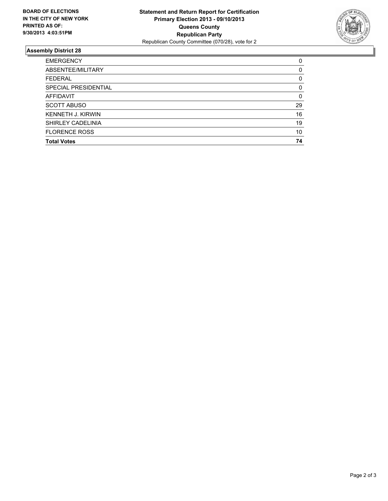

## **Assembly District 28**

| 0        |
|----------|
| $\Omega$ |
| 0        |
| 0        |
| $\Omega$ |
| 29       |
| 16       |
| 19       |
| 10       |
| 74       |
|          |